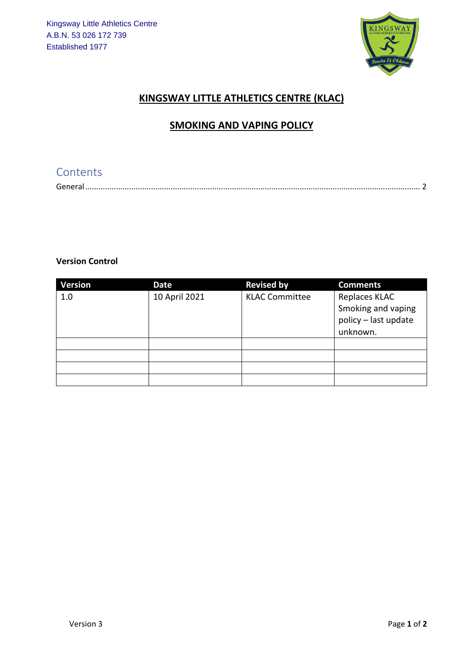

# **KINGSWAY LITTLE ATHLETICS CENTRE (KLAC)**

#### **SMOKING AND VAPING POLICY**

### Contents

#### **Version Control**

| <b>Version</b> | Date          | <b>Revised by</b>     | <b>Comments</b>                                             |
|----------------|---------------|-----------------------|-------------------------------------------------------------|
| 1.0            | 10 April 2021 | <b>KLAC Committee</b> | Replaces KLAC<br>Smoking and vaping<br>policy - last update |
|                |               |                       | unknown.                                                    |
|                |               |                       |                                                             |
|                |               |                       |                                                             |
|                |               |                       |                                                             |